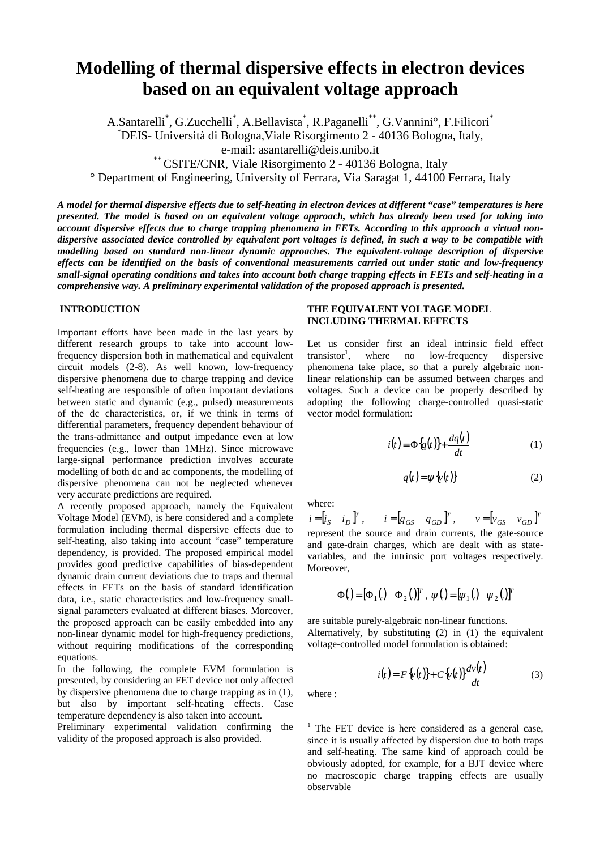# **Modelling of thermal dispersive effects in electron devices based on an equivalent voltage approach**

A.Santarelli<sup>\*</sup>, G.Zucchelli<sup>\*</sup>, A.Bellavista<sup>\*</sup>, R.Paganelli<sup>\*\*</sup>, G.Vannini<sup>o</sup>, F.Filicori<sup>\*</sup>

\* DEIS- Università di Bologna,Viale Risorgimento 2 - 40136 Bologna, Italy,

e-mail: asantarelli@deis.unibo.it

\*\* CSITE/CNR, Viale Risorgimento 2 - 40136 Bologna, Italy

° Department of Engineering, University of Ferrara, Via Saragat 1, 44100 Ferrara, Italy

*A model for thermal dispersive effects due to self-heating in electron devices at different "case" temperatures is here presented. The model is based on an equivalent voltage approach, which has already been used for taking into account dispersive effects due to charge trapping phenomena in FETs. According to this approach a virtual nondispersive associated device controlled by equivalent port voltages is defined, in such a way to be compatible with modelling based on standard non-linear dynamic approaches. The equivalent-voltage description of dispersive effects can be identified on the basis of conventional measurements carried out under static and low-frequency small-signal operating conditions and takes into account both charge trapping effects in FETs and self-heating in a comprehensive way. A preliminary experimental validation of the proposed approach is presented.*

### **INTRODUCTION**

Important efforts have been made in the last years by different research groups to take into account lowfrequency dispersion both in mathematical and equivalent circuit models (2-8). As well known, low-frequency dispersive phenomena due to charge trapping and device self-heating are responsible of often important deviations between static and dynamic (e.g., pulsed) measurements of the dc characteristics, or, if we think in terms of differential parameters, frequency dependent behaviour of the trans-admittance and output impedance even at low frequencies (e.g., lower than 1MHz). Since microwave large-signal performance prediction involves accurate modelling of both dc and ac components, the modelling of dispersive phenomena can not be neglected whenever very accurate predictions are required.

A recently proposed approach, namely the Equivalent Voltage Model (EVM), is here considered and a complete formulation including thermal dispersive effects due to self-heating, also taking into account "case" temperature dependency, is provided. The proposed empirical model provides good predictive capabilities of bias-dependent dynamic drain current deviations due to traps and thermal effects in FETs on the basis of standard identification data, i.e., static characteristics and low-frequency smallsignal parameters evaluated at different biases. Moreover, the proposed approach can be easily embedded into any non-linear dynamic model for high-frequency predictions, without requiring modifications of the corresponding equations.

In the following, the complete EVM formulation is presented, by considering an FET device not only affected by dispersive phenomena due to charge trapping as in (1), but also by important self-heating effects. Case temperature dependency is also taken into account.

Preliminary experimental validation confirming the validity of the proposed approach is also provided.

# **THE EQUIVALENT VOLTAGE MODEL INCLUDING THERMAL EFFECTS**

Let us consider first an ideal intrinsic field effect transistor<sup>1</sup>, where no low-frequency dispersive phenomena take place, so that a purely algebraic nonlinear relationship can be assumed between charges and voltages. Such a device can be properly described by adopting the following charge-controlled quasi-static vector model formulation:

$$
i(t) = \Phi\{q(t)\} + \frac{dq(t)}{dt} \tag{1}
$$

$$
q(t) = \psi\{v(t)\}\tag{2}
$$

where:

 $i = [i_S \quad i_D]^T$ ,  $i = [q_{GS} \quad q_{GD}]^T$ ,  $v = [v_{GS} \quad v_{GD}]^T$ represent the source and drain currents, the gate-source and gate-drain charges, which are dealt with as statevariables, and the intrinsic port voltages respectively. Moreover,

$$
\Phi(.) = [\Phi_1(.) \quad \Phi_2(.)]^T, \ \psi(.) = [\psi_1(.) \quad \psi_2(.)]^T
$$

are suitable purely-algebraic non-linear functions. Alternatively, by substituting (2) in (1) the equivalent voltage-controlled model formulation is obtained:

$$
i(t) = F\{v(t)\} + C\{v(t)\}\frac{dv(t)}{dt}
$$
\n(3)

where :

 $1$  The FET device is here considered as a general case, since it is usually affected by dispersion due to both traps and self-heating. The same kind of approach could be obviously adopted, for example, for a BJT device where no macroscopic charge trapping effects are usually observable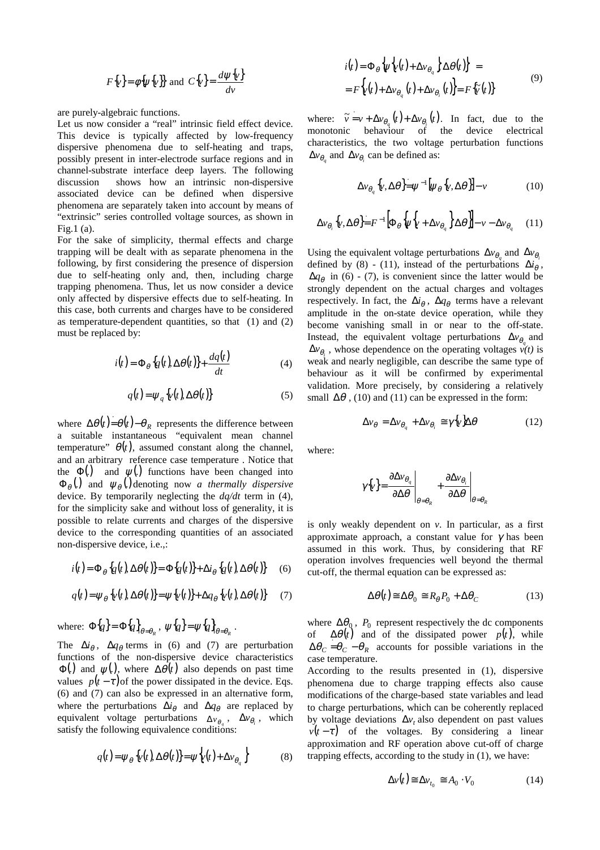$$
F\{v\} = \phi\{\psi\{v\}\} \text{ and } C\{v\} = \frac{d\psi\{v\}}{dv}
$$

are purely-algebraic functions.

Let us now consider a "real" intrinsic field effect device. This device is typically affected by low-frequency dispersive phenomena due to self-heating and traps, possibly present in inter-electrode surface regions and in channel-substrate interface deep layers. The following discussion shows how an intrinsic non-dispersive associated device can be defined when dispersive phenomena are separately taken into account by means of "extrinsic" series controlled voltage sources, as shown in Fig.1 (a).

For the sake of simplicity, thermal effects and charge trapping will be dealt with as separate phenomena in the following, by first considering the presence of dispersion due to self-heating only and, then, including charge trapping phenomena. Thus, let us now consider a device only affected by dispersive effects due to self-heating. In this case, both currents and charges have to be considered as temperature-dependent quantities, so that (1) and (2) must be replaced by:

$$
i(t) = \Phi_{\theta} \{q(t), \Delta \theta(t)\} + \frac{dq(t)}{dt}
$$
 (4)

$$
q(t) = \psi_q \{v(t), \Delta\theta(t)\}
$$
 (5)

where  $\Delta \theta(t) = \theta(t) - \theta_R$  represents the difference between a suitable instantaneous "equivalent mean channel temperature"  $\theta(t)$ , assumed constant along the channel, and an arbitrary reference case temperature . Notice that the  $\Phi(.)$  and  $\psi(.)$  functions have been changed into  $\Phi_{\theta}$ (.) and  $\psi_{\theta}$  denoting now *a thermally dispersive* device. By temporarily neglecting the *dq/dt* term in (4), for the simplicity sake and without loss of generality, it is possible to relate currents and charges of the dispersive device to the corresponding quantities of an associated non-dispersive device, i.e.,:

$$
i(t) = \Phi_{\theta} \{q(t), \Delta \theta(t)\} = \Phi \{q(t)\} + \Delta i_{\theta} \{q(t), \Delta \theta(t)\} \tag{6}
$$

$$
q(t) = \psi_{\theta} \left\{ v(t), \Delta \theta(t) \right\} = \psi \left\{ v(t) \right\} + \Delta q_{\theta} \left\{ v(t), \Delta \theta(t) \right\} \tag{7}
$$

where: 
$$
\Phi\{q\} = \Phi\{q\}_{\theta=\theta_R}
$$
,  $\psi\{q\} = \psi\{q\}_{\theta=\theta_R}$ .  
\nThe  $\Delta i_\theta$ ,  $\Delta q_\theta$  terms in (6) and (7) are perturbation  
\nfunctions of the non-dispersive device characteristics  
\n $\Phi(.)$  and  $\psi(.)$ , where  $\Delta\theta(t)$  also depends on past time  
\nvalues  $p(t-\tau)$  of the power dissipated in the device. Eqs.  
\n(6) and (7) can also be expressed in an alternative form,  
\nwhere the perturbations  $\Delta i_\theta$  and  $\Delta q_\theta$  are replaced by  
\nequivalent voltage perturbations  $\Delta v_{\theta_i}$ ,  $\Delta v_{\theta_i}$ , which  
\nsatisfy the following equivalence conditions:

$$
q(t) = \psi_{\theta} \left\{ v(t) \Delta \theta(t) \right\} = \psi \left\{ v(t) + \Delta v_{\theta_q} \right\}
$$
 (8)

$$
i(t) = \Phi_{\theta} \left\{ \psi \left\{ v(t) + \Delta v_{\theta_q} \right\} \Delta \theta(t) \right\} =
$$
  
=  $F \left\{ v(t) + \Delta v_{\theta_q} (t) + \Delta v_{\theta_i} (t) \right\} = F \left\{ \widetilde{v} (t) \right\}$  (9)

where:  $\tilde{v} = v + \Delta v_{\theta_a}(t) + \Delta v_{\theta_b}(t)$ . In fact, due to the monotonic behaviour of the device electrical characteristics, the two voltage perturbation functions  $\Delta v_{\theta}$  and  $\Delta v_{\theta}$  can be defined as:

$$
\Delta v_{\theta_q} \{\nu, \Delta \theta\} = \psi^{-1} [\psi_{\theta} \{\nu, \Delta \theta\}] - \nu \tag{10}
$$

$$
\Delta v_{\theta_i} \{\nu, \Delta \theta\} = F^{-1} \left[ \Phi_{\theta} \left\{ \psi \left[ \psi + \Delta v_{\theta_q} \right] \Delta \theta \right\} \right] - \nu - \Delta v_{\theta_q} \quad (11)
$$

Using the equivalent voltage perturbations  $\Delta v_{\theta}$  and  $\Delta v_{\theta}$ . defined by (8) - (11), instead of the perturbations  $\Delta i_\theta$ ,  $\Delta q_{\theta}$  in (6) - (7), is convenient since the latter would be strongly dependent on the actual charges and voltages respectively. In fact, the  $\Delta i_\theta$ ,  $\Delta q_\theta$  terms have a relevant amplitude in the on-state device operation, while they become vanishing small in or near to the off-state. Instead, the equivalent voltage perturbations  $\Delta v_\theta$  and  $\Delta v_{\theta}$ , whose dependence on the operating voltages  $v(t)$  is weak and nearly negligible, can describe the same type of behaviour as it will be confirmed by experimental validation. More precisely, by considering a relatively small  $\Delta\theta$ , (10) and (11) can be expressed in the form:

$$
\Delta v_{\theta} = \Delta v_{\theta_q} + \Delta v_{\theta_i} \approx \gamma \{\nu\} \Delta \theta \tag{12}
$$

where:

$$
\gamma \{\mathbf{v}\} = \frac{\partial \Delta \mathbf{v}_{\theta_q}}{\partial \Delta \theta}\Big|_{\theta = \theta_R} + \frac{\partial \Delta \mathbf{v}_{\theta_i}}{\partial \Delta \theta}\Big|_{\theta = \theta_R}
$$

is only weakly dependent on *v*. In particular, as a first approximate approach, a constant value for  $\gamma$  has been assumed in this work. Thus, by considering that RF operation involves frequencies well beyond the thermal cut-off, the thermal equation can be expressed as:

$$
\Delta \theta(t) \approx \Delta \theta_0 \approx R_\theta P_0 + \Delta \theta_C \tag{13}
$$

where  $\Delta\theta_0$ ,  $P_0$  represent respectively the dc components of  $\Delta\theta(t)$  and of the dissipated power  $p(t)$ , while  $\Delta\theta_C = \theta_C - \theta_R$  accounts for possible variations in the case temperature.

According to the results presented in (1), dispersive phenomena due to charge trapping effects also cause modifications of the charge-based state variables and lead to charge perturbations, which can be coherently replaced by voltage deviations  $\Delta v_t$  also dependent on past values  $v(t-\tau)$  of the voltages. By considering a linear approximation and RF operation above cut-off of charge trapping effects, according to the study in (1), we have:

$$
\Delta v(t) \cong \Delta v_{t_0} \cong A_0 \cdot V_0 \tag{14}
$$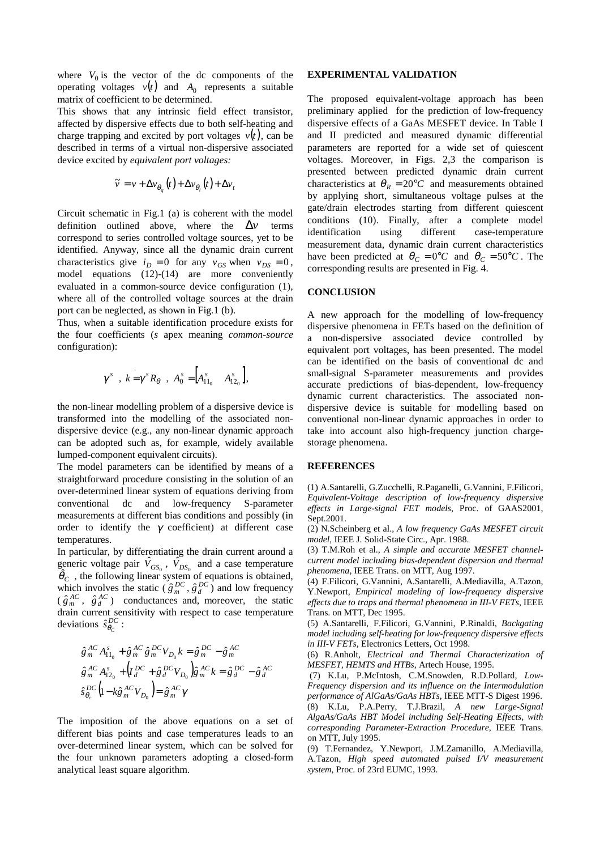where  $V_0$  is the vector of the dc components of the operating voltages  $v(t)$  and  $A_0$  represents a suitable matrix of coefficient to be determined.

This shows that any intrinsic field effect transistor, affected by dispersive effects due to both self-heating and charge trapping and excited by port voltages  $v(t)$ , can be described in terms of a virtual non-dispersive associated device excited by *equivalent port voltages:*

$$
\widetilde{v} = v + \Delta v_{\theta_q}(t) + \Delta v_{\theta_i}(t) + \Delta v_t
$$

Circuit schematic in Fig.1 (a) is coherent with the model definition outlined above, where the  $\Delta v$  terms correspond to series controlled voltage sources, yet to be identified. Anyway, since all the dynamic drain current characteristics give  $i_D = 0$  for any  $v_{GS}$  when  $v_{DS} = 0$ , model equations (12)-(14) are more conveniently evaluated in a common-source device configuration (1), where all of the controlled voltage sources at the drain port can be neglected, as shown in Fig.1 (b).

Thus, when a suitable identification procedure exists for the four coefficients (*s* apex meaning *common-source*  configuration):

$$
\gamma^{s}
$$
,  $k = \gamma^{s} R_{\theta}$ ,  $A_{0}^{s} = \begin{bmatrix} A_{11_{0}}^{s} & A_{12_{0}}^{s} \end{bmatrix}$ ,

the non-linear modelling problem of a dispersive device is transformed into the modelling of the associated nondispersive device (e.g., any non-linear dynamic approach can be adopted such as, for example, widely available lumped-component equivalent circuits).

The model parameters can be identified by means of a straightforward procedure consisting in the solution of an over-determined linear system of equations deriving from conventional dc and low-frequency S-parameter measurements at different bias conditions and possibly (in order to identify the  $\gamma$  coefficient) at different case temperatures.

In particular, by differentiating the drain current around a generic voltage pair  $\hat{V}_{GS_0}$ ,  $\hat{V}_{DS_0}$  and a case temperature  $\hat{\theta}_c$ , the following linear system of equations is obtained, which involves the static  $(\hat{g}_m^{DC}, \hat{g}_d^{DC})$  and low frequency  $(\hat{g}_m^{AC}, \hat{g}_d^{AC})$  conductances and, moreover, the static drain current sensitivity with respect to case temperature deviations  $\hat{s}_{\theta_c}^{DC}$  :

$$
\begin{cases} \hat{g}_{m}^{AC} A_{11_{0}}^{s} + \hat{g}_{m}^{AC} \hat{g}_{m}^{DC} V_{D_{0}} k = \hat{g}_{m}^{DC} - \hat{g}_{m}^{AC} \\ \hat{g}_{m}^{AC} A_{12_{0}}^{s} + (I_{d}^{DC} + \hat{g}_{d}^{DC} V_{D_{0}}) \hat{g}_{m}^{AC} k = \hat{g}_{d}^{DC} - \hat{g}_{d}^{AC} \\ \hat{s}_{\theta_{c}}^{DC} (1 - k \hat{g}_{m}^{AC} V_{D_{0}}) = \hat{g}_{m}^{AC} \gamma \end{cases}
$$

The imposition of the above equations on a set of different bias points and case temperatures leads to an over-determined linear system, which can be solved for the four unknown parameters adopting a closed-form analytical least square algorithm.

## **EXPERIMENTAL VALIDATION**

The proposed equivalent-voltage approach has been preliminary applied for the prediction of low-frequency dispersive effects of a GaAs MESFET device. In Table I and II predicted and measured dynamic differential parameters are reported for a wide set of quiescent voltages. Moreover, in Figs. 2,3 the comparison is presented between predicted dynamic drain current characteristics at  $\theta_R = 20^{\circ}C$  and measurements obtained by applying short, simultaneous voltage pulses at the gate/drain electrodes starting from different quiescent conditions (10). Finally, after a complete model identification using different case-temperature measurement data, dynamic drain current characteristics have been predicted at  $\theta_C = 0^\circ C$  and  $\theta_C = 50^\circ C$ . The corresponding results are presented in Fig. 4.

### **CONCLUSION**

A new approach for the modelling of low-frequency dispersive phenomena in FETs based on the definition of a non-dispersive associated device controlled by equivalent port voltages, has been presented. The model can be identified on the basis of conventional dc and small-signal S-parameter measurements and provides accurate predictions of bias-dependent, low-frequency dynamic current characteristics. The associated nondispersive device is suitable for modelling based on conventional non-linear dynamic approaches in order to take into account also high-frequency junction chargestorage phenomena.

#### **REFERENCES**

(1) A.Santarelli, G.Zucchelli, R.Paganelli, G.Vannini, F.Filicori, *Equivalent-Voltage description of low-frequency dispersive effects in Large-signal FET models*, Proc. of GAAS2001, Sept.2001.

(2) N.Scheinberg et al., *A low frequency GaAs MESFET circuit model*, IEEE J. Solid-State Circ., Apr. 1988.

(3) T.M.Roh et al., *A simple and accurate MESFET channelcurrent model including bias-dependent dispersion and thermal phenomena*, IEEE Trans. on MTT, Aug 1997.

(4) F.Filicori, G.Vannini, A.Santarelli, A.Mediavilla, A.Tazon, Y.Newport, *Empirical modeling of low-frequency dispersive effects due to traps and thermal phenomena in III-V FETs*, IEEE Trans. on MTT, Dec 1995.

(5) A.Santarelli, F.Filicori, G.Vannini, P.Rinaldi, *Backgating model including self-heating for low-frequency dispersive effects in III-V FETs*, Electronics Letters, Oct 1998.

(6) R.Anholt, *Electrical and Thermal Characterization of MESFET, HEMTS and HTBs*, Artech House, 1995.

(7) K.Lu, P.McIntosh, C.M.Snowden, R.D.Pollard, *Low-Frequency dispersion and its influence on the Intermodulation performance of AlGaAs/GaAs HBTs*, IEEE MTT-S Digest 1996.

(8) K.Lu, P.A.Perry, T.J.Brazil, *A new Large-Signal AlgaAs/GaAs HBT Model including Self-Heating Effects, with corresponding Parameter-Extraction Procedure*, IEEE Trans. on MTT, July 1995.

(9) T.Fernandez, Y.Newport, J.M.Zamanillo, A.Mediavilla, A.Tazon, *High speed automated pulsed I/V measurement system*, Proc. of 23rd EUMC, 1993.